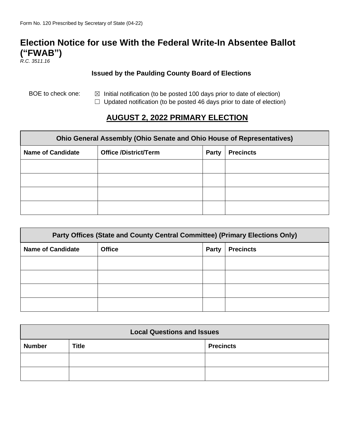## **Election Notice for use With the Federal Write-In Absentee Ballot ("FWAB")**

*R.C. 3511.16*

## **Issued by the Paulding County Board of Elections**

- BOE to check one:  $\boxtimes$  Initial notification (to be posted 100 days prior to date of election)
	- $\Box$  Updated notification (to be posted 46 days prior to date of election)

## **AUGUST 2, 2022 PRIMARY ELECTION**

| Ohio General Assembly (Ohio Senate and Ohio House of Representatives) |                              |       |                  |  |  |
|-----------------------------------------------------------------------|------------------------------|-------|------------------|--|--|
| <b>Name of Candidate</b>                                              | <b>Office /District/Term</b> | Party | <b>Precincts</b> |  |  |
|                                                                       |                              |       |                  |  |  |
|                                                                       |                              |       |                  |  |  |
|                                                                       |                              |       |                  |  |  |
|                                                                       |                              |       |                  |  |  |

| Party Offices (State and County Central Committee) (Primary Elections Only) |               |              |                  |  |  |
|-----------------------------------------------------------------------------|---------------|--------------|------------------|--|--|
| <b>Name of Candidate</b>                                                    | <b>Office</b> | <b>Party</b> | <b>Precincts</b> |  |  |
|                                                                             |               |              |                  |  |  |
|                                                                             |               |              |                  |  |  |
|                                                                             |               |              |                  |  |  |
|                                                                             |               |              |                  |  |  |

| <b>Local Questions and Issues</b> |              |                  |  |  |
|-----------------------------------|--------------|------------------|--|--|
| <b>Number</b>                     | <b>Title</b> | <b>Precincts</b> |  |  |
|                                   |              |                  |  |  |
|                                   |              |                  |  |  |